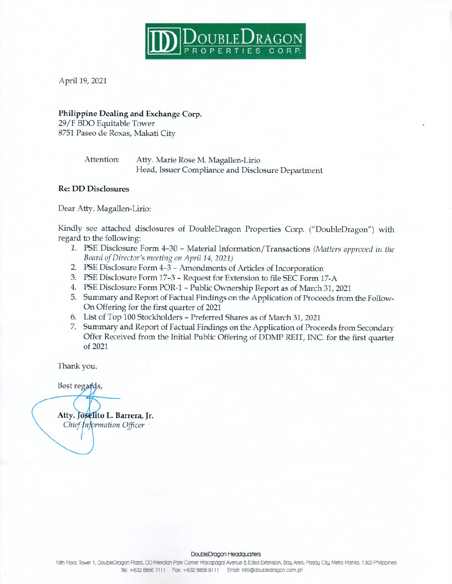

April 19, 2021

### Philippine Dealing and Exchange Corp.

29/F BDO Equitable Tower 8751 Paseo de Roxas, Makati City

> Attention: Atty. Marie Rose M. Magallen-Lirio Head, Issuer Compliance and Disclosure Department

## **Re: DD Disclosures**

Dear Atty. Magallen-Lirio:

Kindly see attached disclosures of DoubleDragon Properties Corp. ("DoubleDragon") with regard to the following:

- 1. PSE Disclosure Form 4-30 Material Information/Transactions (Matters approved in the Board of Director's meeting on April 14, 2021)
- 2. PSE Disclosure Form 4-3 Amendments of Articles of Incorporation
- 3. PSE Disclosure Form 17-3 Request for Extension to file SEC Form 17-A
- 4. PSE Disclosure Form POR-1 Public Ownership Report as of March 31, 2021
- 5. Summary and Report of Factual Findings on the Application of Proceeds from the Follow-On Offering for the first quarter of 2021
- 6. List of Top 100 Stockholders Preferred Shares as of March 31, 2021
- 7. Summary and Report of Factual Findings on the Application of Proceeds from Secondary Offer Received from the Initial Public Offering of DDMP REIT, INC. for the first quarter of 2021

Thank you.

Best regards,

Atty. Joselito L. Barrera, Jr. Chief Information Officer

#### DoubleDragon Headquarters

10th Floor, Tower 1, DoubleDragon Plaza, DD Meridian Park Comer Macapagal Avenue & Edsa Extension, Bay Area, Pasay City, Metro Manila, 1302 Philippines Tel: +632 8856 7111 Fax: +632 8856 9111 Email: Info@doubledragon.com.ph